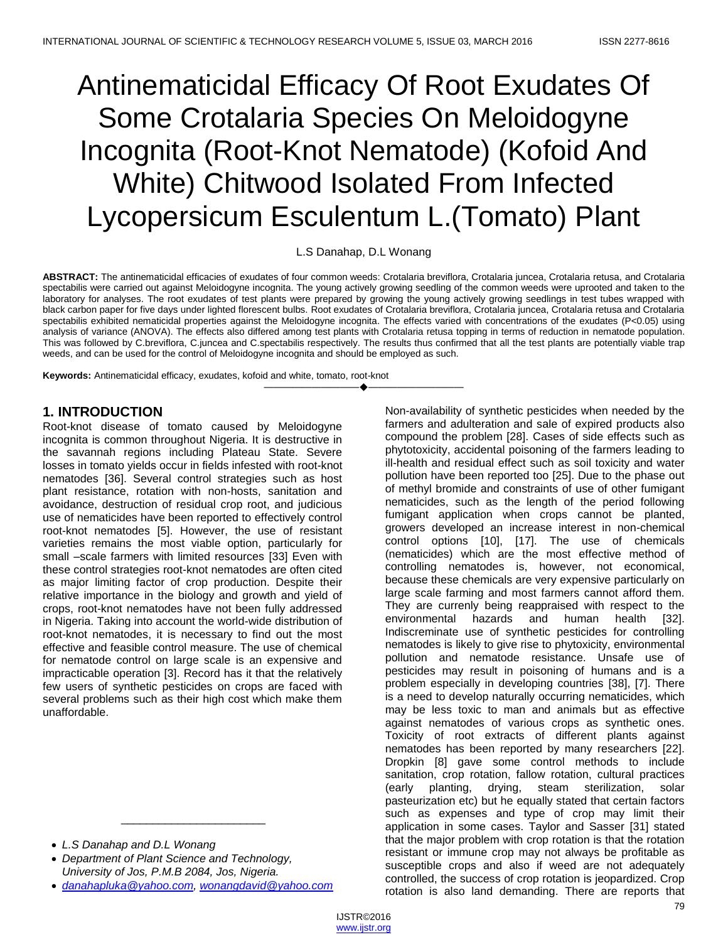# Antinematicidal Efficacy Of Root Exudates Of Some Crotalaria Species On Meloidogyne Incognita (Root-Knot Nematode) (Kofoid And White) Chitwood Isolated From Infected Lycopersicum Esculentum L.(Tomato) Plant

L.S Danahap, D.L Wonang

**ABSTRACT:** The antinematicidal efficacies of exudates of four common weeds: Crotalaria breviflora, Crotalaria juncea, Crotalaria retusa, and Crotalaria spectabilis were carried out against Meloidogyne incognita. The young actively growing seedling of the common weeds were uprooted and taken to the laboratory for analyses. The root exudates of test plants were prepared by growing the young actively growing seedlings in test tubes wrapped with black carbon paper for five days under lighted florescent bulbs. Root exudates of Crotalaria breviflora, Crotalaria juncea, Crotalaria retusa and Crotalaria spectabilis exhibited nematicidal properties against the Meloidogyne incognita. The effects varied with concentrations of the exudates (P<0.05) using analysis of variance (ANOVA). The effects also differed among test plants with Crotalaria retusa topping in terms of reduction in nematode population. This was followed by C.breviflora, C.juncea and C.spectabilis respectively. The results thus confirmed that all the test plants are potentially viable trap weeds, and can be used for the control of Meloidogyne incognita and should be employed as such.

————————————————————

**Keywords:** Antinematicidal efficacy, exudates, kofoid and white, tomato, root-knot

## **1. INTRODUCTION**

Root-knot disease of tomato caused by Meloidogyne incognita is common throughout Nigeria. It is destructive in the savannah regions including Plateau State. Severe losses in tomato yields occur in fields infested with root-knot nematodes [36]. Several control strategies such as host plant resistance, rotation with non-hosts, sanitation and avoidance, destruction of residual crop root, and judicious use of nematicides have been reported to effectively control root-knot nematodes [5]. However, the use of resistant varieties remains the most viable option, particularly for small –scale farmers with limited resources [33] Even with these control strategies root-knot nematodes are often cited as major limiting factor of crop production. Despite their relative importance in the biology and growth and yield of crops, root-knot nematodes have not been fully addressed in Nigeria. Taking into account the world-wide distribution of root-knot nematodes, it is necessary to find out the most effective and feasible control measure. The use of chemical for nematode control on large scale is an expensive and impracticable operation [3]. Record has it that the relatively few users of synthetic pesticides on crops are faced with several problems such as their high cost which make them unaffordable.

- *L.S Danahap and D.L Wonang*
- *Department of Plant Science and Technology, University of Jos, P.M.B 2084, Jos, Nigeria.*
- *[danahapluka@yahoo.com,](mailto:danahapluka@yahoo.com) [wonangdavid@yahoo.com](mailto:wonangdavid@yahoo.com)*

\_\_\_\_\_\_\_\_\_\_\_\_\_\_\_\_\_\_\_\_\_\_\_

Non-availability of synthetic pesticides when needed by the farmers and adulteration and sale of expired products also compound the problem [28]. Cases of side effects such as phytotoxicity, accidental poisoning of the farmers leading to ill-health and residual effect such as soil toxicity and water pollution have been reported too [25]. Due to the phase out of methyl bromide and constraints of use of other fumigant nematicides, such as the length of the period following fumigant application when crops cannot be planted, growers developed an increase interest in non-chemical control options [10], [17]. The use of chemicals (nematicides) which are the most effective method of controlling nematodes is, however, not economical, because these chemicals are very expensive particularly on large scale farming and most farmers cannot afford them. They are currenly being reappraised with respect to the environmental hazards and human health [32]. Indiscreminate use of synthetic pesticides for controlling nematodes is likely to give rise to phytoxicity, environmental pollution and nematode resistance. Unsafe use of pesticides may result in poisoning of humans and is a problem especially in developing countries [38], [7]. There is a need to develop naturally occurring nematicides, which may be less toxic to man and animals but as effective against nematodes of various crops as synthetic ones. Toxicity of root extracts of different plants against nematodes has been reported by many researchers [22]. Dropkin [8] gave some control methods to include sanitation, crop rotation, fallow rotation, cultural practices (early planting, drying, steam sterilization, solar pasteurization etc) but he equally stated that certain factors such as expenses and type of crop may limit their application in some cases. Taylor and Sasser [31] stated that the major problem with crop rotation is that the rotation resistant or immune crop may not always be profitable as susceptible crops and also if weed are not adequately controlled, the success of crop rotation is jeopardized. Crop rotation is also land demanding. There are reports that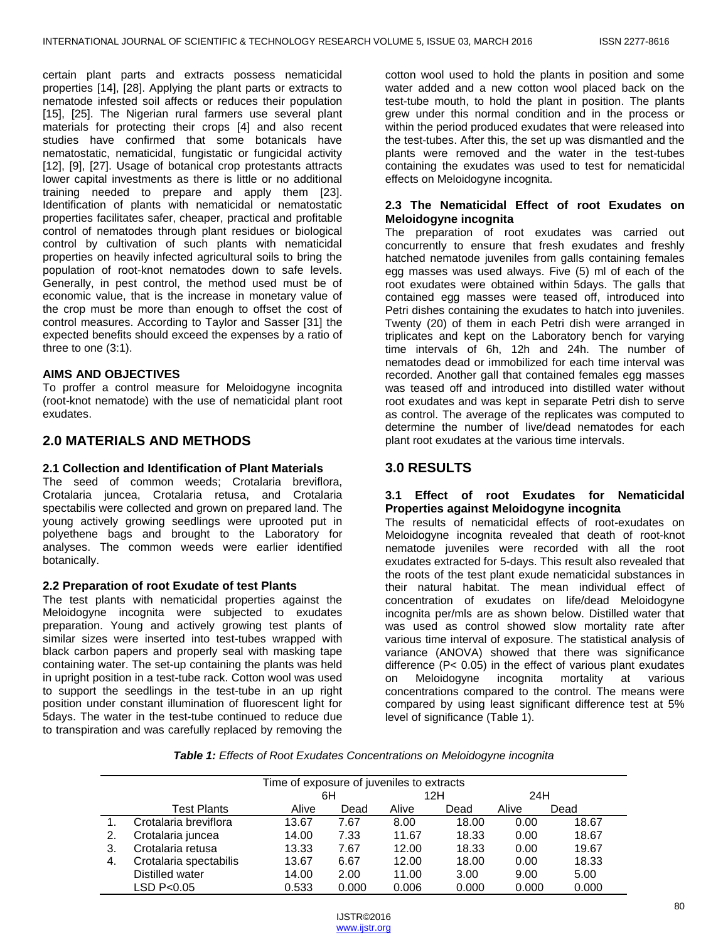certain plant parts and extracts possess nematicidal properties [14], [28]. Applying the plant parts or extracts to nematode infested soil affects or reduces their population [15], [25]. The Nigerian rural farmers use several plant materials for protecting their crops [4] and also recent studies have confirmed that some botanicals have nematostatic, nematicidal, fungistatic or fungicidal activity [12], [9], [27]. Usage of botanical crop protestants attracts lower capital investments as there is little or no additional training needed to prepare and apply them [23]. Identification of plants with nematicidal or nematostatic properties facilitates safer, cheaper, practical and profitable control of nematodes through plant residues or biological control by cultivation of such plants with nematicidal properties on heavily infected agricultural soils to bring the population of root-knot nematodes down to safe levels. Generally, in pest control, the method used must be of economic value, that is the increase in monetary value of the crop must be more than enough to offset the cost of control measures. According to Taylor and Sasser [31] the expected benefits should exceed the expenses by a ratio of three to one (3:1).

## **AIMS AND OBJECTIVES**

To proffer a control measure for Meloidogyne incognita (root-knot nematode) with the use of nematicidal plant root exudates.

## **2.0 MATERIALS AND METHODS**

#### **2.1 Collection and Identification of Plant Materials**

The seed of common weeds; Crotalaria breviflora, Crotalaria juncea, Crotalaria retusa, and Crotalaria spectabilis were collected and grown on prepared land. The young actively growing seedlings were uprooted put in polyethene bags and brought to the Laboratory for analyses. The common weeds were earlier identified botanically.

#### **2.2 Preparation of root Exudate of test Plants**

The test plants with nematicidal properties against the Meloidogyne incognita were subjected to exudates preparation. Young and actively growing test plants of similar sizes were inserted into test-tubes wrapped with black carbon papers and properly seal with masking tape containing water. The set-up containing the plants was held in upright position in a test-tube rack. Cotton wool was used to support the seedlings in the test-tube in an up right position under constant illumination of fluorescent light for 5days. The water in the test-tube continued to reduce due to transpiration and was carefully replaced by removing the

cotton wool used to hold the plants in position and some water added and a new cotton wool placed back on the test-tube mouth, to hold the plant in position. The plants grew under this normal condition and in the process or within the period produced exudates that were released into the test-tubes. After this, the set up was dismantled and the plants were removed and the water in the test-tubes containing the exudates was used to test for nematicidal effects on Meloidogyne incognita.

### **2.3 The Nematicidal Effect of root Exudates on Meloidogyne incognita**

The preparation of root exudates was carried out concurrently to ensure that fresh exudates and freshly hatched nematode juveniles from galls containing females egg masses was used always. Five (5) ml of each of the root exudates were obtained within 5days. The galls that contained egg masses were teased off, introduced into Petri dishes containing the exudates to hatch into juveniles. Twenty (20) of them in each Petri dish were arranged in triplicates and kept on the Laboratory bench for varying time intervals of 6h, 12h and 24h. The number of nematodes dead or immobilized for each time interval was recorded. Another gall that contained females egg masses was teased off and introduced into distilled water without root exudates and was kept in separate Petri dish to serve as control. The average of the replicates was computed to determine the number of live/dead nematodes for each plant root exudates at the various time intervals.

## **3.0 RESULTS**

#### **3.1 Effect of root Exudates for Nematicidal Properties against Meloidogyne incognita**

The results of nematicidal effects of root-exudates on Meloidogyne incognita revealed that death of root-knot nematode juveniles were recorded with all the root exudates extracted for 5-days. This result also revealed that the roots of the test plant exude nematicidal substances in their natural habitat. The mean individual effect of concentration of exudates on life/dead Meloidogyne incognita per/mls are as shown below. Distilled water that was used as control showed slow mortality rate after various time interval of exposure. The statistical analysis of variance (ANOVA) showed that there was significance difference (P< 0.05) in the effect of various plant exudates on Meloidogyne incognita mortality at various concentrations compared to the control. The means were compared by using least significant difference test at 5% level of significance (Table 1).

*Table 1: Effects of Root Exudates Concentrations on Meloidogyne incognita*

| Time of exposure of juveniles to extracts |                        |       |       |       |       |       |       |
|-------------------------------------------|------------------------|-------|-------|-------|-------|-------|-------|
|                                           |                        | 6H    |       | 12H   |       | 24H   |       |
|                                           | <b>Test Plants</b>     | Alive | Dead  | Alive | Dead  | Alive | Dead  |
|                                           | Crotalaria breviflora  | 13.67 | 7.67  | 8.00  | 18.00 | 0.00  | 18.67 |
| 2.                                        | Crotalaria juncea      | 14.00 | 7.33  | 11.67 | 18.33 | 0.00  | 18.67 |
| 3.                                        | Crotalaria retusa      | 13.33 | 7.67  | 12.00 | 18.33 | 0.00  | 19.67 |
| 4.                                        | Crotalaria spectabilis | 13.67 | 6.67  | 12.00 | 18.00 | 0.00  | 18.33 |
|                                           | Distilled water        | 14.00 | 2.00  | 11.00 | 3.00  | 9.00  | 5.00  |
|                                           | LSD P<0.05             | 0.533 | 0.000 | 0.006 | 0.000 | 0.000 | 0.000 |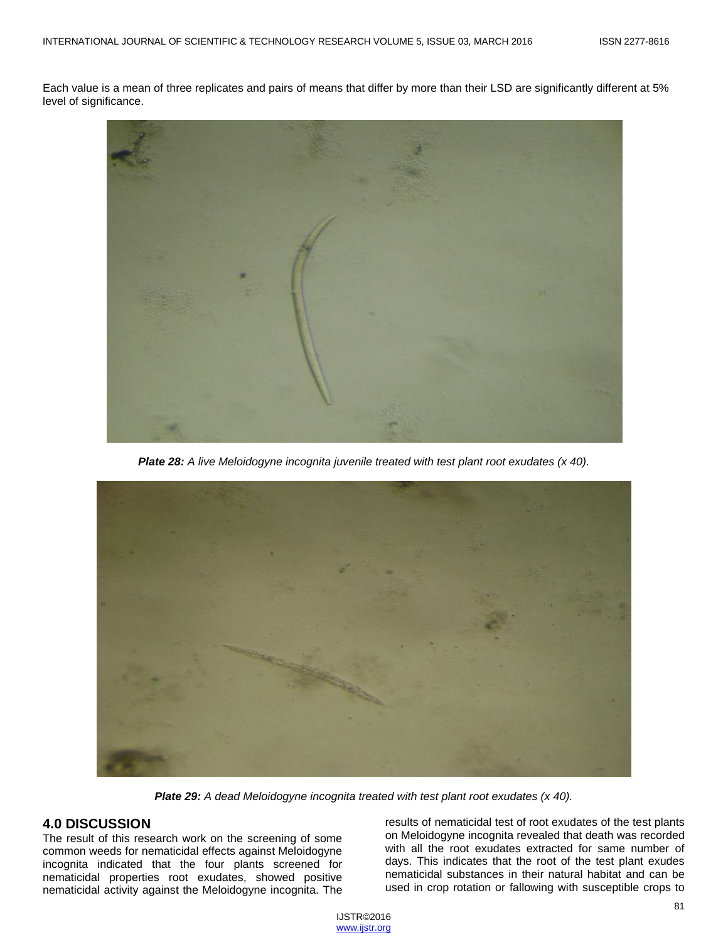Each value is a mean of three replicates and pairs of means that differ by more than their LSD are significantly different at 5% level of significance.



*Plate 28: A live Meloidogyne incognita juvenile treated with test plant root exudates (x 40).*



*Plate 29: A dead Meloidogyne incognita treated with test plant root exudates (x 40).*

## **4.0 DISCUSSION**

The result of this research work on the screening of some common weeds for nematicidal effects against Meloidogyne incognita indicated that the four plants screened for nematicidal properties root exudates, showed positive nematicidal activity against the Meloidogyne incognita. The results of nematicidal test of root exudates of the test plants on Meloidogyne incognita revealed that death was recorded with all the root exudates extracted for same number of days. This indicates that the root of the test plant exudes nematicidal substances in their natural habitat and can be used in crop rotation or fallowing with susceptible crops to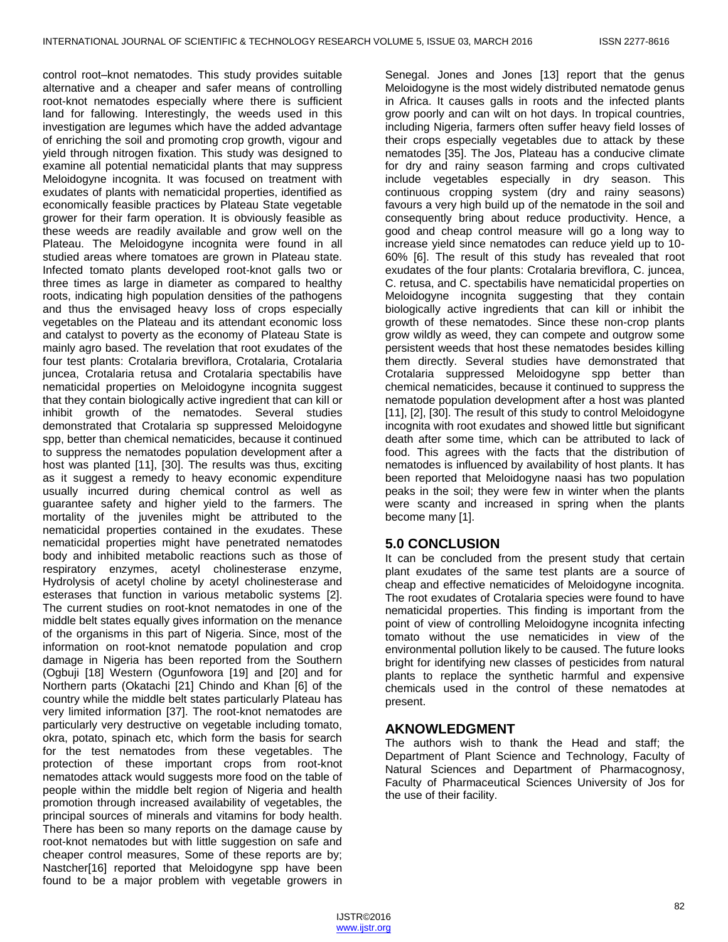control root–knot nematodes. This study provides suitable alternative and a cheaper and safer means of controlling root-knot nematodes especially where there is sufficient land for fallowing. Interestingly, the weeds used in this investigation are legumes which have the added advantage of enriching the soil and promoting crop growth, vigour and yield through nitrogen fixation. This study was designed to examine all potential nematicidal plants that may suppress Meloidogyne incognita. It was focused on treatment with exudates of plants with nematicidal properties, identified as economically feasible practices by Plateau State vegetable grower for their farm operation. It is obviously feasible as these weeds are readily available and grow well on the Plateau. The Meloidogyne incognita were found in all studied areas where tomatoes are grown in Plateau state. Infected tomato plants developed root-knot galls two or three times as large in diameter as compared to healthy roots, indicating high population densities of the pathogens and thus the envisaged heavy loss of crops especially vegetables on the Plateau and its attendant economic loss and catalyst to poverty as the economy of Plateau State is mainly agro based. The revelation that root exudates of the four test plants: Crotalaria breviflora, Crotalaria, Crotalaria juncea, Crotalaria retusa and Crotalaria spectabilis have nematicidal properties on Meloidogyne incognita suggest that they contain biologically active ingredient that can kill or inhibit growth of the nematodes. Several studies demonstrated that Crotalaria sp suppressed Meloidogyne spp, better than chemical nematicides, because it continued to suppress the nematodes population development after a host was planted [11], [30]. The results was thus, exciting as it suggest a remedy to heavy economic expenditure usually incurred during chemical control as well as guarantee safety and higher yield to the farmers. The mortality of the juveniles might be attributed to the nematicidal properties contained in the exudates. These nematicidal properties might have penetrated nematodes body and inhibited metabolic reactions such as those of respiratory enzymes, acetyl cholinesterase enzyme, Hydrolysis of acetyl choline by acetyl cholinesterase and esterases that function in various metabolic systems [2]. The current studies on root-knot nematodes in one of the middle belt states equally gives information on the menance of the organisms in this part of Nigeria. Since, most of the information on root-knot nematode population and crop damage in Nigeria has been reported from the Southern (Ogbuji [18] Western (Ogunfowora [19] and [20] and for Northern parts (Okatachi [21] Chindo and Khan [6] of the country while the middle belt states particularly Plateau has very limited information [37]. The root-knot nematodes are particularly very destructive on vegetable including tomato, okra, potato, spinach etc, which form the basis for search for the test nematodes from these vegetables. The protection of these important crops from root-knot nematodes attack would suggests more food on the table of people within the middle belt region of Nigeria and health promotion through increased availability of vegetables, the principal sources of minerals and vitamins for body health. There has been so many reports on the damage cause by root-knot nematodes but with little suggestion on safe and cheaper control measures, Some of these reports are by; Nastcher[16] reported that Meloidogyne spp have been found to be a major problem with vegetable growers in

Senegal. Jones and Jones [13] report that the genus Meloidogyne is the most widely distributed nematode genus in Africa. It causes galls in roots and the infected plants grow poorly and can wilt on hot days. In tropical countries, including Nigeria, farmers often suffer heavy field losses of their crops especially vegetables due to attack by these nematodes [35]. The Jos, Plateau has a conducive climate for dry and rainy season farming and crops cultivated include vegetables especially in dry season. This continuous cropping system (dry and rainy seasons) favours a very high build up of the nematode in the soil and consequently bring about reduce productivity. Hence, a good and cheap control measure will go a long way to increase yield since nematodes can reduce yield up to 10- 60% [6]. The result of this study has revealed that root exudates of the four plants: Crotalaria breviflora, C. juncea, C. retusa, and C. spectabilis have nematicidal properties on Meloidogyne incognita suggesting that they contain biologically active ingredients that can kill or inhibit the growth of these nematodes. Since these non-crop plants grow wildly as weed, they can compete and outgrow some persistent weeds that host these nematodes besides killing them directly. Several studies have demonstrated that Crotalaria suppressed Meloidogyne spp better than chemical nematicides, because it continued to suppress the nematode population development after a host was planted [11], [2], [30]. The result of this study to control Meloidogyne incognita with root exudates and showed little but significant death after some time, which can be attributed to lack of food. This agrees with the facts that the distribution of nematodes is influenced by availability of host plants. It has been reported that Meloidogyne naasi has two population peaks in the soil; they were few in winter when the plants were scanty and increased in spring when the plants become many [1].

## **5.0 CONCLUSION**

It can be concluded from the present study that certain plant exudates of the same test plants are a source of cheap and effective nematicides of Meloidogyne incognita. The root exudates of Crotalaria species were found to have nematicidal properties. This finding is important from the point of view of controlling Meloidogyne incognita infecting tomato without the use nematicides in view of the environmental pollution likely to be caused. The future looks bright for identifying new classes of pesticides from natural plants to replace the synthetic harmful and expensive chemicals used in the control of these nematodes at present.

## **AKNOWLEDGMENT**

The authors wish to thank the Head and staff; the Department of Plant Science and Technology, Faculty of Natural Sciences and Department of Pharmacognosy, Faculty of Pharmaceutical Sciences University of Jos for the use of their facility.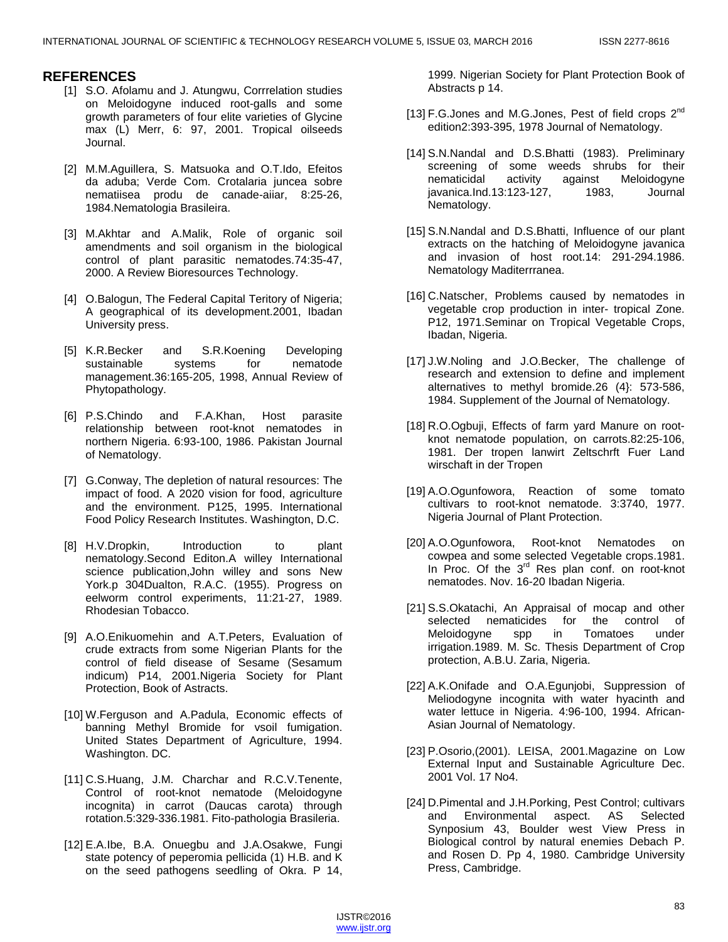## **REFERENCES**

- [1] S.O. Afolamu and J. Atungwu, Corrrelation studies on Meloidogyne induced root-galls and some growth parameters of four elite varieties of Glycine max (L) Merr, 6: 97, 2001. Tropical oilseeds Journal.
- [2] M.M.Aguillera, S. Matsuoka and O.T.Ido, Efeitos da aduba; Verde Com. Crotalaria juncea sobre nematiisea produ de canade-aiiar, 8:25-26, 1984.Nematologia Brasileira.
- [3] M.Akhtar and A.Malik, Role of organic soil amendments and soil organism in the biological control of plant parasitic nematodes.74:35-47, 2000. A Review Bioresources Technology.
- [4] O.Balogun, The Federal Capital Teritory of Nigeria; A geographical of its development.2001, Ibadan University press.
- [5] K.R.Becker and S.R.Koening Developing sustainable systems for nematode management.36:165-205, 1998, Annual Review of Phytopathology.
- [6] P.S.Chindo and F.A.Khan, Host parasite relationship between root-knot nematodes in northern Nigeria. 6:93-100, 1986. Pakistan Journal of Nematology.
- [7] G.Conway, The depletion of natural resources: The impact of food. A 2020 vision for food, agriculture and the environment. P125, 1995. International Food Policy Research Institutes. Washington, D.C.
- [8] H.V.Dropkin, Introduction to plant nematology.Second Editon.A willey International science publication,John willey and sons New York.p 304Dualton, R.A.C. (1955). Progress on eelworm control experiments, 11:21-27, 1989. Rhodesian Tobacco.
- [9] A.O.Enikuomehin and A.T.Peters, Evaluation of crude extracts from some Nigerian Plants for the control of field disease of Sesame (Sesamum indicum) P14, 2001.Nigeria Society for Plant Protection, Book of Astracts.
- [10] W.Ferguson and A.Padula, Economic effects of banning Methyl Bromide for vsoil fumigation. United States Department of Agriculture, 1994. Washington. DC.
- [11] C.S.Huang, J.M. Charchar and R.C.V.Tenente, Control of root-knot nematode (Meloidogyne incognita) in carrot (Daucas carota) through rotation.5:329-336.1981. Fito-pathologia Brasileria.
- [12] E.A.Ibe, B.A. Onuegbu and J.A.Osakwe, Fungi state potency of peperomia pellicida (1) H.B. and K on the seed pathogens seedling of Okra. P 14,

1999. Nigerian Society for Plant Protection Book of Abstracts p 14.

- [13] F.G.Jones and M.G.Jones, Pest of field crops 2<sup>nd</sup> edition2:393-395, 1978 Journal of Nematology.
- [14] S.N.Nandal and D.S.Bhatti (1983). Preliminary screening of some weeds shrubs for their nematicidal activity against Meloidogyne javanica.Ind.13:123-127, 1983, Journal Nematology.
- [15] S.N.Nandal and D.S.Bhatti, Influence of our plant extracts on the hatching of Meloidogyne javanica and invasion of host root.14: 291-294.1986. Nematology Maditerrranea.
- [16] C.Natscher, Problems caused by nematodes in vegetable crop production in inter- tropical Zone. P12, 1971.Seminar on Tropical Vegetable Crops, Ibadan, Nigeria.
- [17] J.W.Noling and J.O.Becker, The challenge of research and extension to define and implement alternatives to methyl bromide.26 (4}: 573-586, 1984. Supplement of the Journal of Nematology.
- [18] R.O.Ogbuji, Effects of farm yard Manure on rootknot nematode population, on carrots.82:25-106, 1981. Der tropen lanwirt Zeltschrft Fuer Land wirschaft in der Tropen
- [19] A.O.Ogunfowora, Reaction of some tomato cultivars to root-knot nematode. 3:3740, 1977. Nigeria Journal of Plant Protection.
- [20] A.O.Ogunfowora, Root-knot Nematodes on cowpea and some selected Vegetable crops.1981. In Proc. Of the 3<sup>rd</sup> Res plan conf. on root-knot nematodes. Nov. 16-20 Ibadan Nigeria.
- [21] S.S.Okatachi, An Appraisal of mocap and other selected nematicides for the control of Meloidogyne spp in Tomatoes under irrigation.1989. M. Sc. Thesis Department of Crop protection, A.B.U. Zaria, Nigeria.
- [22] A.K.Onifade and O.A.Egunjobi, Suppression of Meliodogyne incognita with water hyacinth and water lettuce in Nigeria. 4:96-100, 1994. African-Asian Journal of Nematology.
- [23] P.Osorio,(2001). LEISA, 2001.Magazine on Low External Input and Sustainable Agriculture Dec. 2001 Vol. 17 No4.
- [24] D.Pimental and J.H.Porking, Pest Control; cultivars and Environmental aspect. AS Selected Synposium 43, Boulder west View Press in Biological control by natural enemies Debach P. and Rosen D. Pp 4, 1980. Cambridge University Press, Cambridge.